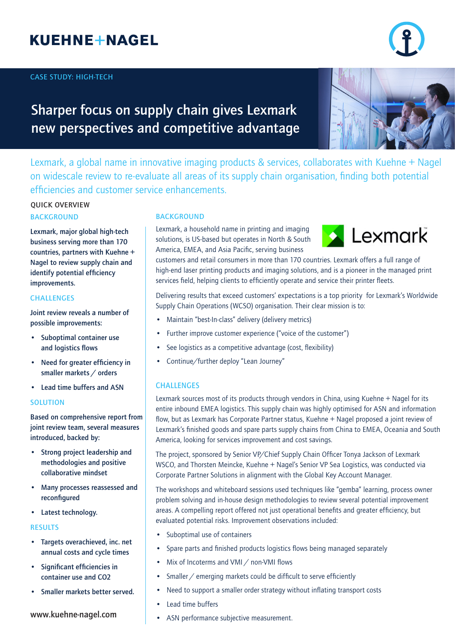# **KUEHNE+NAGEL**

### **CASE STUDY: HIGH-TECH**

## **Sharper focus on supply chain gives Lexmark new perspectives and competitive advantage**

Lexmark, a global name in innovative imaging products & services, collaborates with Kuehne + Nagel on widescale review to re-evaluate all areas of its supply chain organisation, finding both potential efficiencies and customer service enhancements.

## **BACKGROUND QUICK OVERVIEW**

**Lexmark, major global high-tech business serving more than 170 countries, partners with Kuehne + Nagel to review supply chain and identify potential efficiency improvements.** 

### **CHALLENGES**

**Joint review reveals a number of possible improvements:**

- **• Suboptimal container use and logistics flows**
- **• Need for greater efficiency in smaller markets / orders**
- **• Lead time buffers and ASN**

#### **SOLUTION**

**Based on comprehensive report from joint review team, several measures introduced, backed by:**

- **• Strong project leadership and methodologies and positive collaborative mindset**
- **• Many processes reassessed and reconfigured**
- **• Latest technology.**

#### **RESULTS**

- **• Targets overachieved, inc. net annual costs and cycle times**
- **• Significant efficiencies in container use and CO2**
- **• Smaller markets better served.**

## **www.kuehne-nagel.com**

### **BACKGROUND**

Lexmark, a household name in printing and imaging solutions, is US-based but operates in North & South America, EMEA, and Asia Pacific, serving business

customers and retail consumers in more than 170 countries. Lexmark offers a full range of high-end laser printing products and imaging solutions, and is a pioneer in the managed print services field, helping clients to efficiently operate and service their printer fleets.

Delivering results that exceed customers' expectations is a top priority for Lexmark's Worldwide Supply Chain Operations (WCSO) organisation. Their clear mission is to:

- Maintain "best-In-class" delivery (delivery metrics)
- Further improve customer experience ("voice of the customer")
- See logistics as a competitive advantage (cost, flexibility)
- Continue/further deploy "Lean Journey"

### **CHALLENGES**

Lexmark sources most of its products through vendors in China, using Kuehne + Nagel for its entire inbound EMEA logistics. This supply chain was highly optimised for ASN and information flow, but as Lexmark has Corporate Partner status, Kuehne + Nagel proposed a joint review of Lexmark's finished goods and spare parts supply chains from China to EMEA, Oceania and South America, looking for services improvement and cost savings.

The project, sponsored by Senior VP/Chief Supply Chain Officer Tonya Jackson of Lexmark WSCO, and Thorsten Meincke, Kuehne + Nagel's Senior VP Sea Logistics, was conducted via Corporate Partner Solutions in alignment with the Global Key Account Manager.

The workshops and whiteboard sessions used techniques like "gemba" learning, process owner problem solving and in-house design methodologies to review several potential improvement areas. A compelling report offered not just operational benefits and greater efficiency, but evaluated potential risks. Improvement observations included:

- Suboptimal use of containers
- Spare parts and finished products logistics flows being managed separately
- Mix of Incoterms and VMI / non-VMI flows
- Smaller / emerging markets could be difficult to serve efficiently
- Need to support a smaller order strategy without inflating transport costs
- Lead time buffers
- ASN performance subjective measurement.



Lexmark